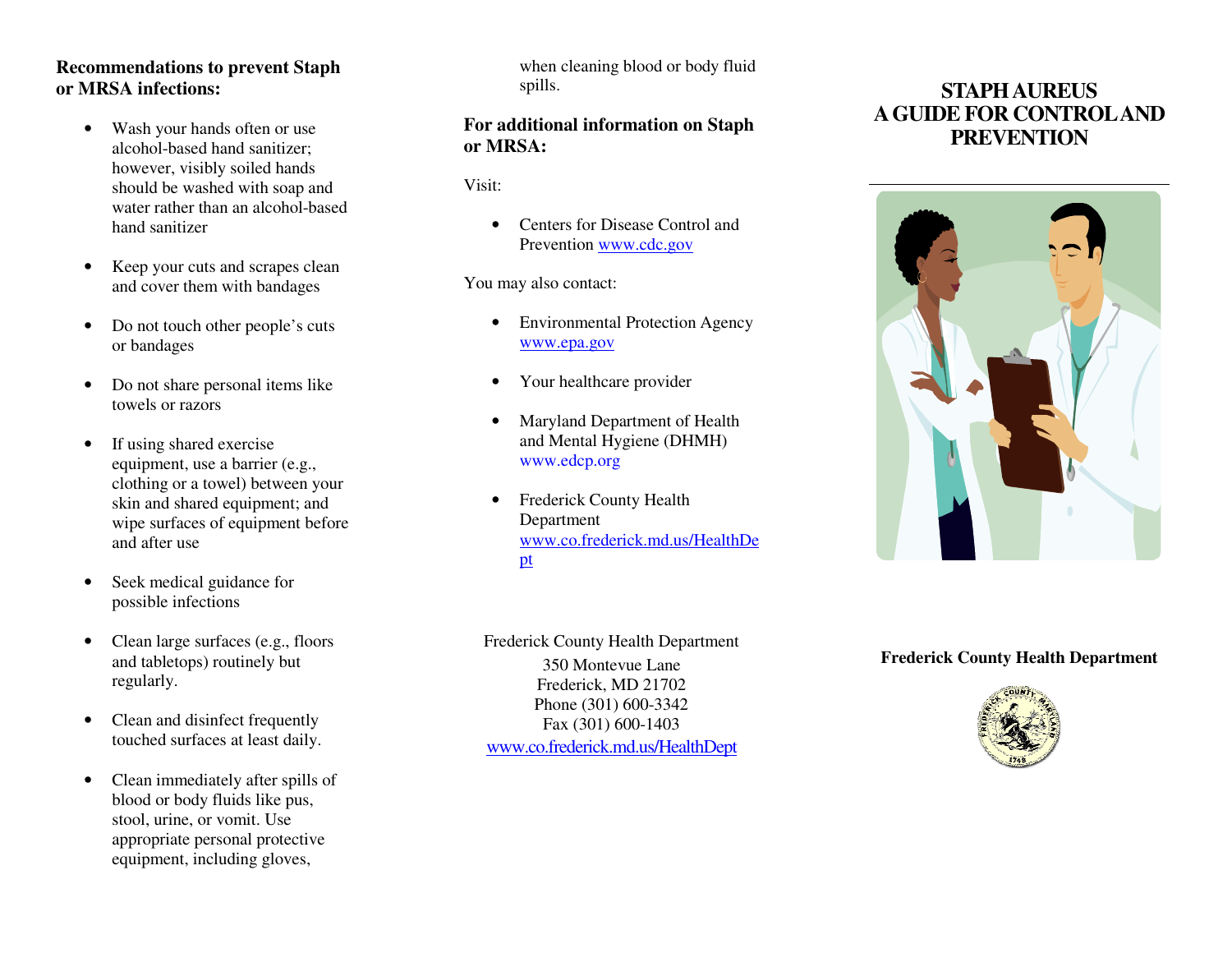#### **Recommendations to prevent Staph or MRSA infections:**

- Wash your hands often or use alcohol-based hand sanitizer; however, visibly soiled hands should be washed with soap and water rather than an alcohol-based hand sanitizer
- $\bullet$  Keep your cuts and scrapes clean and cover them with bandages
- $\bullet$  Do not touch other people's cuts or bandages
- $\bullet$  Do not share personal items like towels or razors
- $\bullet$  If using shared exercise equipment, use a barrier (e.g., clothing or a towel) between your skin and shared equipment; and wipe surfaces of equipment before and after use
- $\bullet$  Seek medical guidance for possible infections
- $\bullet$  Clean large surfaces (e.g., floors and tabletops) routinely but regularly.
- $\bullet$  Clean and disinfect frequently touched surfaces at least daily.
- $\bullet$  Clean immediately after spills of blood or body fluids like pus, stool, urine, or vomit. Use appropriate personal protective equipment, including gloves,

when cleaning blood or body fluid spills.

### **For additional information on Staph or MRSA:**

Visit:

• Centers for Disease Control and Prevention www.cdc.gov

You may also contact:

- • Environmental Protection Agency www.epa.gov
- $\bullet$ Your healthcare provider
- $\bullet$  Maryland Department of Health and Mental Hygiene (DHMH) www.edcp.org
- • Frederick County Health Department www.co.frederick.md.us/HealthDept

350 Montevue Lane Frederick, MD 21702 Phone (301) 600-3342 Fax (301) 600-1403 www.co.frederick.md.us/HealthDept

# **STAPH AUREUS A GUIDE FOR CONTROL AND PREVENTION**



#### **Frederick County Health Department**



Frederick County Health Department